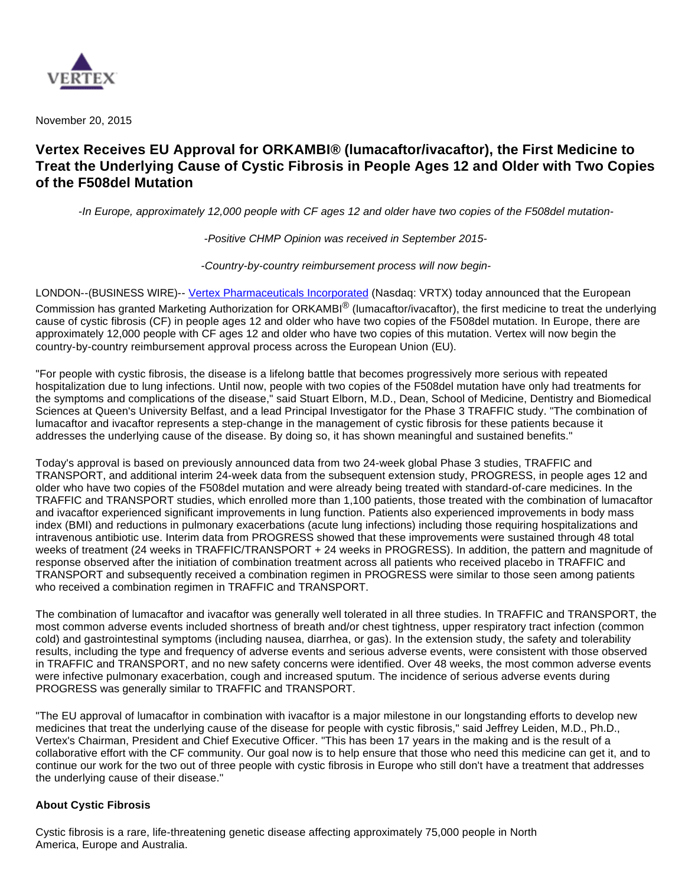

November 20, 2015

# **Vertex Receives EU Approval for ORKAMBI® (lumacaftor/ivacaftor), the First Medicine to Treat the Underlying Cause of Cystic Fibrosis in People Ages 12 and Older with Two Copies of the F508del Mutation**

-In Europe, approximately 12,000 people with CF ages 12 and older have two copies of the F508del mutation-

-Positive CHMP Opinion was received in September 2015-

-Country-by-country reimbursement process will now begin-

LONDON--(BUSINESS WIRE)-- [Vertex Pharmaceuticals Incorporated](http://cts.businesswire.com/ct/CT?id=smartlink&url=http%3A%2F%2Fwww.vrtx.com&esheet=51228415&newsitemid=20151120005194&lan=en-US&anchor=Vertex+Pharmaceuticals+Incorporated&index=1&md5=ff668bfcd3f48290ef6e4446ae4c52dc) (Nasdaq: VRTX) today announced that the European Commission has granted Marketing Authorization for ORKAMBI® (lumacaftor/ivacaftor), the first medicine to treat the underlying cause of cystic fibrosis (CF) in people ages 12 and older who have two copies of the F508del mutation. In Europe, there are approximately 12,000 people with CF ages 12 and older who have two copies of this mutation. Vertex will now begin the country-by-country reimbursement approval process across the European Union (EU).

"For people with cystic fibrosis, the disease is a lifelong battle that becomes progressively more serious with repeated hospitalization due to lung infections. Until now, people with two copies of the F508del mutation have only had treatments for the symptoms and complications of the disease," said Stuart Elborn, M.D., Dean, School of Medicine, Dentistry and Biomedical Sciences at Queen's University Belfast, and a lead Principal Investigator for the Phase 3 TRAFFIC study. "The combination of lumacaftor and ivacaftor represents a step-change in the management of cystic fibrosis for these patients because it addresses the underlying cause of the disease. By doing so, it has shown meaningful and sustained benefits."

Today's approval is based on previously announced data from two 24-week global Phase 3 studies, TRAFFIC and TRANSPORT, and additional interim 24-week data from the subsequent extension study, PROGRESS, in people ages 12 and older who have two copies of the F508del mutation and were already being treated with standard-of-care medicines. In the TRAFFIC and TRANSPORT studies, which enrolled more than 1,100 patients, those treated with the combination of lumacaftor and ivacaftor experienced significant improvements in lung function. Patients also experienced improvements in body mass index (BMI) and reductions in pulmonary exacerbations (acute lung infections) including those requiring hospitalizations and intravenous antibiotic use. Interim data from PROGRESS showed that these improvements were sustained through 48 total weeks of treatment (24 weeks in TRAFFIC/TRANSPORT + 24 weeks in PROGRESS). In addition, the pattern and magnitude of response observed after the initiation of combination treatment across all patients who received placebo in TRAFFIC and TRANSPORT and subsequently received a combination regimen in PROGRESS were similar to those seen among patients who received a combination regimen in TRAFFIC and TRANSPORT.

The combination of lumacaftor and ivacaftor was generally well tolerated in all three studies. In TRAFFIC and TRANSPORT, the most common adverse events included shortness of breath and/or chest tightness, upper respiratory tract infection (common cold) and gastrointestinal symptoms (including nausea, diarrhea, or gas). In the extension study, the safety and tolerability results, including the type and frequency of adverse events and serious adverse events, were consistent with those observed in TRAFFIC and TRANSPORT, and no new safety concerns were identified. Over 48 weeks, the most common adverse events were infective pulmonary exacerbation, cough and increased sputum. The incidence of serious adverse events during PROGRESS was generally similar to TRAFFIC and TRANSPORT.

"The EU approval of lumacaftor in combination with ivacaftor is a major milestone in our longstanding efforts to develop new medicines that treat the underlying cause of the disease for people with cystic fibrosis," said Jeffrey Leiden, M.D., Ph.D., Vertex's Chairman, President and Chief Executive Officer. "This has been 17 years in the making and is the result of a collaborative effort with the CF community. Our goal now is to help ensure that those who need this medicine can get it, and to continue our work for the two out of three people with cystic fibrosis in Europe who still don't have a treatment that addresses the underlying cause of their disease."

### **About Cystic Fibrosis**

Cystic fibrosis is a rare, life-threatening genetic disease affecting approximately 75,000 people in North America, Europe and Australia.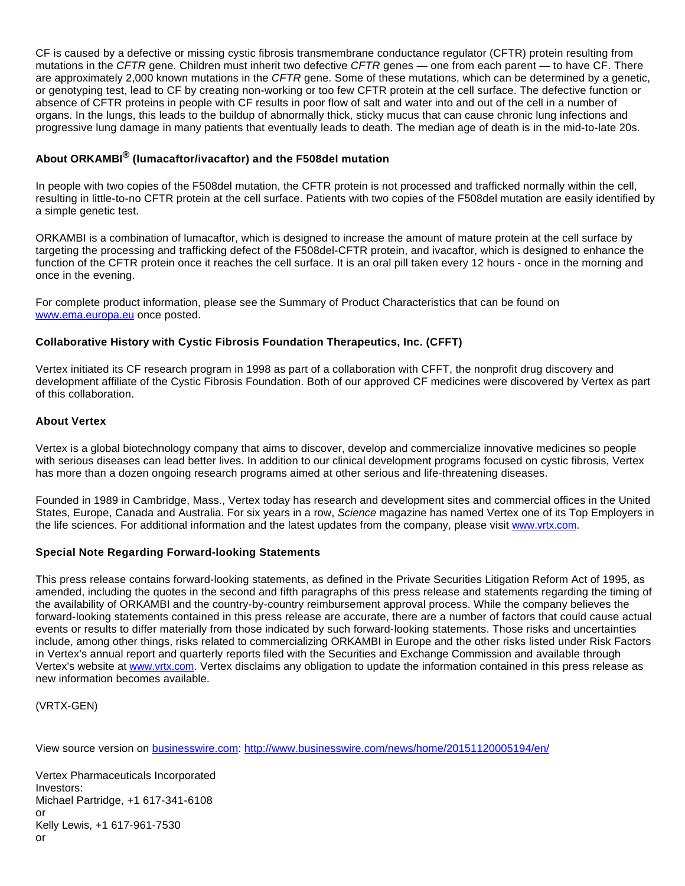CF is caused by a defective or missing cystic fibrosis transmembrane conductance regulator (CFTR) protein resulting from mutations in the CFTR gene. Children must inherit two defective CFTR genes - one from each parent - to have CF. There are approximately 2,000 known mutations in the CFTR gene. Some of these mutations, which can be determined by a genetic, or genotyping test, lead to CF by creating non-working or too few CFTR protein at the cell surface. The defective function or absence of CFTR proteins in people with CF results in poor flow of salt and water into and out of the cell in a number of organs. In the lungs, this leads to the buildup of abnormally thick, sticky mucus that can cause chronic lung infections and progressive lung damage in many patients that eventually leads to death. The median age of death is in the mid-to-late 20s.

## **About ORKAMBI® (lumacaftor/ivacaftor) and the F508del mutation**

In people with two copies of the F508del mutation, the CFTR protein is not processed and trafficked normally within the cell, resulting in little-to-no CFTR protein at the cell surface. Patients with two copies of the F508del mutation are easily identified by a simple genetic test.

ORKAMBI is a combination of lumacaftor, which is designed to increase the amount of mature protein at the cell surface by targeting the processing and trafficking defect of the F508del-CFTR protein, and ivacaftor, which is designed to enhance the function of the CFTR protein once it reaches the cell surface. It is an oral pill taken every 12 hours - once in the morning and once in the evening.

For complete product information, please see the Summary of Product Characteristics that can be found on [www.ema.europa.eu](http://cts.businesswire.com/ct/CT?id=smartlink&url=http%3A%2F%2Fwww.ema.europa.eu&esheet=51228415&newsitemid=20151120005194&lan=en-US&anchor=www.ema.europa.eu&index=2&md5=5a45892f791775becd0781f39d27354f) once posted.

### **Collaborative History with Cystic Fibrosis Foundation Therapeutics, Inc. (CFFT)**

Vertex initiated its CF research program in 1998 as part of a collaboration with CFFT, the nonprofit drug discovery and development affiliate of the Cystic Fibrosis Foundation. Both of our approved CF medicines were discovered by Vertex as part of this collaboration.

### **About Vertex**

Vertex is a global biotechnology company that aims to discover, develop and commercialize innovative medicines so people with serious diseases can lead better lives. In addition to our clinical development programs focused on cystic fibrosis, Vertex has more than a dozen ongoing research programs aimed at other serious and life-threatening diseases.

Founded in 1989 in Cambridge, Mass., Vertex today has research and development sites and commercial offices in the United States, Europe, Canada and Australia. For six years in a row, Science magazine has named Vertex one of its Top Employers in the life sciences. For additional information and the latest updates from the company, please visit [www.vrtx.com.](http://cts.businesswire.com/ct/CT?id=smartlink&url=http%3A%2F%2Fwww.vrtx.com&esheet=51228415&newsitemid=20151120005194&lan=en-US&anchor=www.vrtx.com&index=3&md5=e16b0e1c51b9513a2528dcdd15be24f5)

### **Special Note Regarding Forward-looking Statements**

This press release contains forward-looking statements, as defined in the Private Securities Litigation Reform Act of 1995, as amended, including the quotes in the second and fifth paragraphs of this press release and statements regarding the timing of the availability of ORKAMBI and the country-by-country reimbursement approval process. While the company believes the forward-looking statements contained in this press release are accurate, there are a number of factors that could cause actual events or results to differ materially from those indicated by such forward-looking statements. Those risks and uncertainties include, among other things, risks related to commercializing ORKAMBI in Europe and the other risks listed under Risk Factors in Vertex's annual report and quarterly reports filed with the Securities and Exchange Commission and available through Vertex's website at [www.vrtx.com](http://cts.businesswire.com/ct/CT?id=smartlink&url=http%3A%2F%2Fwww.vrtx.com&esheet=51228415&newsitemid=20151120005194&lan=en-US&anchor=www.vrtx.com&index=4&md5=2dd2b0d39fb03c08d24727d61ceca792). Vertex disclaims any obligation to update the information contained in this press release as new information becomes available.

(VRTX-GEN)

View source version on [businesswire.com](http://businesswire.com/): <http://www.businesswire.com/news/home/20151120005194/en/>

Vertex Pharmaceuticals Incorporated Investors: Michael Partridge, +1 617-341-6108 or Kelly Lewis, +1 617-961-7530 or